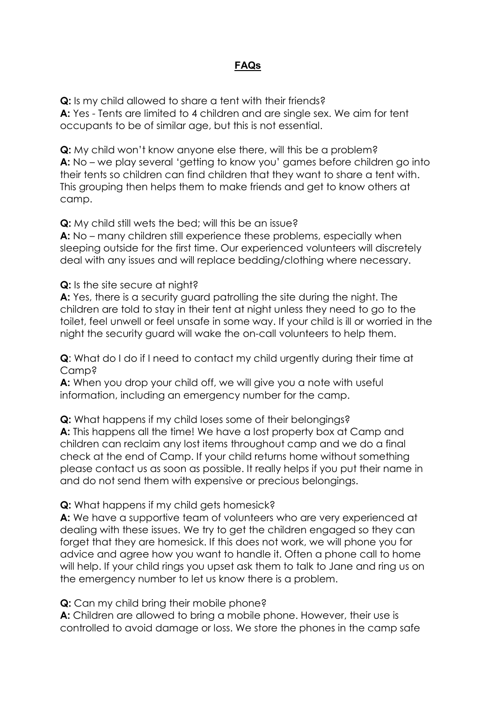## **FAQs**

**Q:** Is my child allowed to share a tent with their friends? **A:** Yes - Tents are limited to 4 children and are single sex. We aim for tent occupants to be of similar age, but this is not essential.

**Q:** My child won't know anyone else there, will this be a problem? **A:** No – we play several 'getting to know you' games before children go into their tents so children can find children that they want to share a tent with. This grouping then helps them to make friends and get to know others at camp.

**Q:** My child still wets the bed; will this be an issue?

**A:** No – many children still experience these problems, especially when sleeping outside for the first time. Our experienced volunteers will discretely deal with any issues and will replace bedding/clothing where necessary.

**Q:** Is the site secure at night?

**A:** Yes, there is a security guard patrolling the site during the night. The children are told to stay in their tent at night unless they need to go to the toilet, feel unwell or feel unsafe in some way. If your child is ill or worried in the night the security guard will wake the on-call volunteers to help them.

**Q**: What do I do if I need to contact my child urgently during their time at Camp?

**A:** When you drop your child off, we will give you a note with useful information, including an emergency number for the camp.

**Q:** What happens if my child loses some of their belongings?

**A:** This happens all the time! We have a lost property box at Camp and children can reclaim any lost items throughout camp and we do a final check at the end of Camp. If your child returns home without something please contact us as soon as possible. It really helps if you put their name in and do not send them with expensive or precious belongings.

## **Q:** What happens if my child gets homesick?

**A:** We have a supportive team of volunteers who are very experienced at dealing with these issues. We try to get the children engaged so they can forget that they are homesick. If this does not work, we will phone you for advice and agree how you want to handle it. Often a phone call to home will help. If your child rings you upset ask them to talk to Jane and ring us on the emergency number to let us know there is a problem.

**Q:** Can my child bring their mobile phone?

**A:** Children are allowed to bring a mobile phone. However, their use is controlled to avoid damage or loss. We store the phones in the camp safe